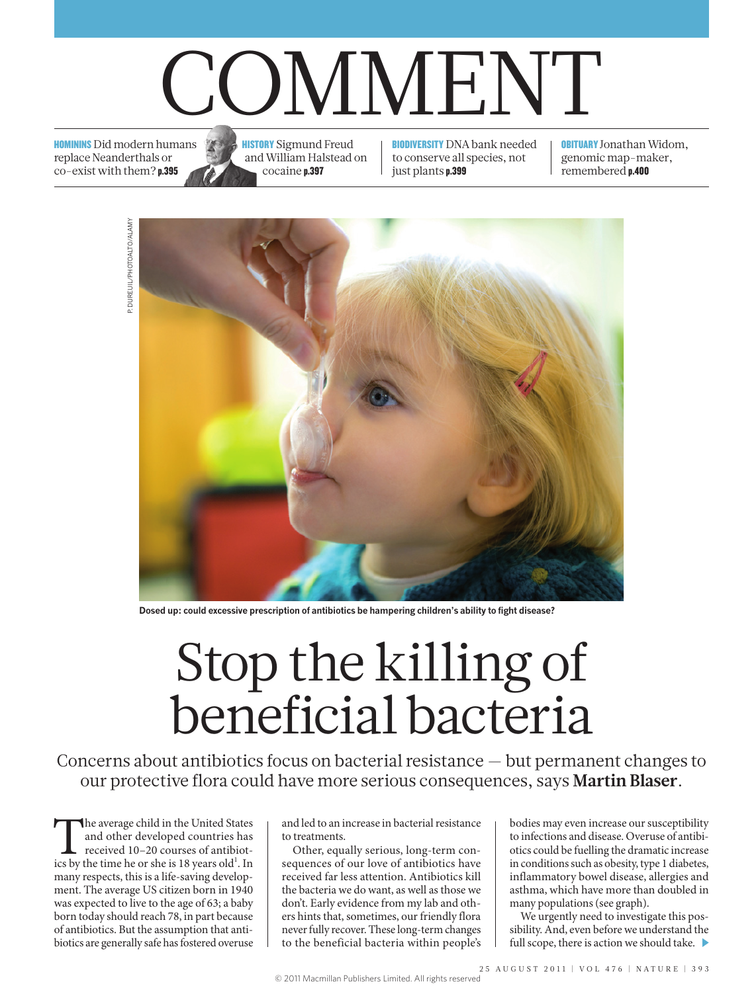# COMMENT

HOMININS Did modern humans replace Neanderthals or co-exist with them? p.395



**HISTORY** Sigmund Freud and William Halstead on cocaine p.397

BIODIVERSITY DNA bank needed to conserve all species, not just plants p.399

**OBITUARY** Jonathan Widom, genomic map-maker, remembered p.400



**Dosed up: could excessive prescription of antibiotics be hampering children's ability to fight disease?**

# Stop the killing of beneficial bacteria

Concerns about antibiotics focus on bacterial resistance — but permanent changes to our protective flora could have more serious consequences, says **Martin Blaser**.

The average child in the United States<br>and other developed countries has<br>received 10–20 courses of antibiot-<br>ics by the time he or she is 18 years old<sup>1</sup>. In and other developed countries has received 10–20 courses of antibiotmany respects, this is a life-saving development. The average US citizen born in 1940 was expected to live to the age of 63; a baby born today should reach 78, in part because of antibiotics. But the assumption that antibiotics are generally safe has fostered overuse

and led to an increase in bacterial resistance to treatments.

Other, equally serious, long-term consequences of our love of antibiotics have received far less attention. Antibiotics kill the bacteria we do want, as well as those we don't. Early evidence from my lab and others hints that, sometimes, our friendly flora never fully recover. These long-term changes to the beneficial bacteria within people's bodies may even increase our susceptibility to infections and disease. Overuse of antibiotics could be fuelling the dramatic increase in conditions such as obesity, type 1 diabetes, inflammatory bowel disease, allergies and asthma, which have more than doubled in many populations (see graph).

We urgently need to investigate this possibility. And, even before we understand the full scope, there is action we should take.  $\blacktriangleright$